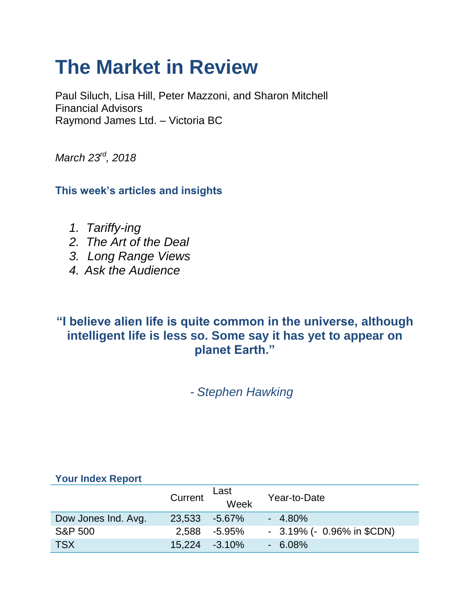# **The Market in Review**

Paul Siluch, Lisa Hill, Peter Mazzoni, and Sharon Mitchell Financial Advisors Raymond James Ltd. – Victoria BC

*March 23rd, 2018*

**This week's articles and insights**

- *1. Tariffy-ing*
- *2. The Art of the Deal*
- *3. Long Range Views*
- *4. Ask the Audience*

# **"I believe alien life is quite common in the universe, although intelligent life is less so. Some say it has yet to appear on planet Earth."**

- *Stephen Hawking*

|                     | Current          | Last<br>Week | Year-to-Date                    |
|---------------------|------------------|--------------|---------------------------------|
| Dow Jones Ind. Avg. | 23,533 -5.67%    |              | $-4.80\%$                       |
| <b>S&amp;P 500</b>  | 2.588            | -5.95%       | $-3.19\%$ ( $-0.96\%$ in \$CDN) |
| <b>TSX</b>          | $15,224 -3.10\%$ |              | $-6.08\%$                       |

#### **Your Index Report**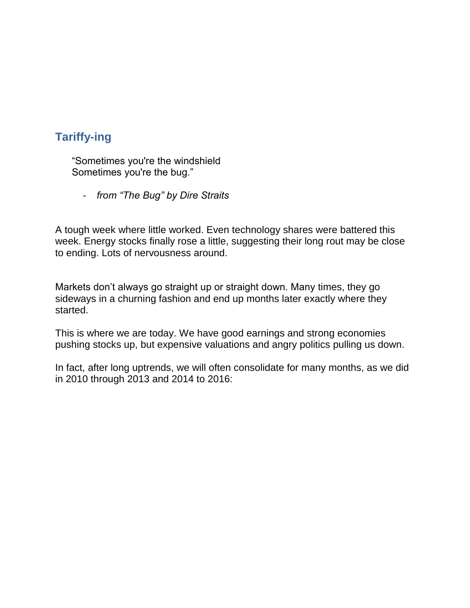### **Tariffy-ing**

 "Sometimes you're the windshield Sometimes you're the bug."

- *from "The Bug" by Dire Straits*

A tough week where little worked. Even technology shares were battered this week. Energy stocks finally rose a little, suggesting their long rout may be close to ending. Lots of nervousness around.

Markets don't always go straight up or straight down. Many times, they go sideways in a churning fashion and end up months later exactly where they started.

This is where we are today. We have good earnings and strong economies pushing stocks up, but expensive valuations and angry politics pulling us down.

In fact, after long uptrends, we will often consolidate for many months, as we did in 2010 through 2013 and 2014 to 2016: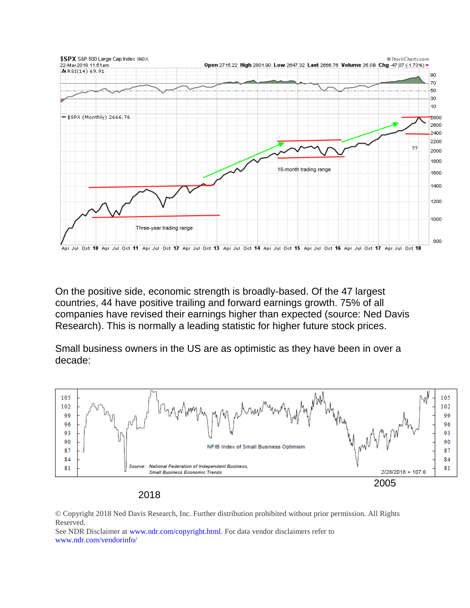

On the positive side, economic strength is broadly-based. Of the 47 largest countries, 44 have positive trailing and forward earnings growth. 75% of all companies have revised their earnings higher than expected (source: Ned Davis Research). This is normally a leading statistic for higher future stock prices.

Small business owners in the US are as optimistic as they have been in over a decade:





© Copyright 2018 Ned Davis Research, Inc. Further distribution prohibited without prior permission. All Rights Reserved.

See NDR Disclaimer a[t www.ndr.com/copyright.html.](https://www.ndr.com/copyright.html) For data vendor disclaimers refer to [www.ndr.com/vendorinfo/](https://www.ndr.com/vendorinfo/)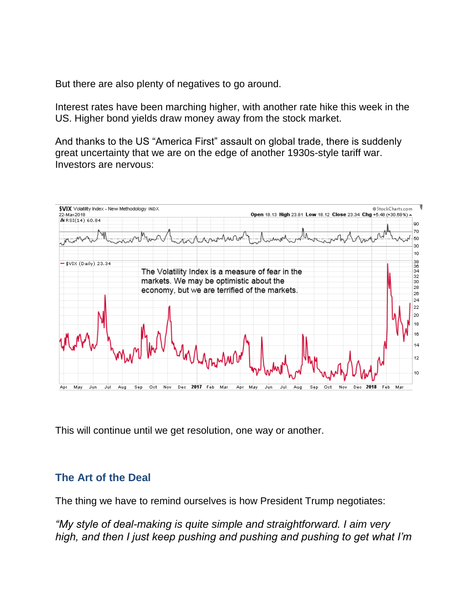But there are also plenty of negatives to go around.

Interest rates have been marching higher, with another rate hike this week in the US. Higher bond yields draw money away from the stock market.

And thanks to the US "America First" assault on global trade, there is suddenly great uncertainty that we are on the edge of another 1930s-style tariff war. Investors are nervous:



This will continue until we get resolution, one way or another.

#### **The Art of the Deal**

The thing we have to remind ourselves is how President Trump negotiates:

*"My style of deal-making is quite simple and straightforward. I aim very high, and then I just keep pushing and pushing and pushing to get what I'm*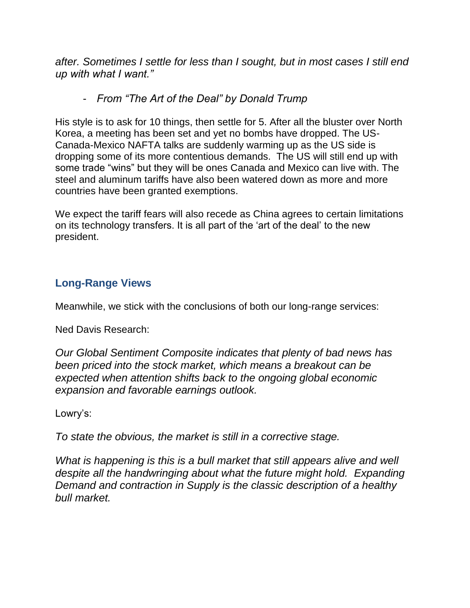*after. Sometimes I settle for less than I sought, but in most cases I still end up with what I want."*

#### - *From "The Art of the Deal" by Donald Trump*

His style is to ask for 10 things, then settle for 5. After all the bluster over North Korea, a meeting has been set and yet no bombs have dropped. The US-Canada-Mexico NAFTA talks are suddenly warming up as the US side is dropping some of its more contentious demands. The US will still end up with some trade "wins" but they will be ones Canada and Mexico can live with. The steel and aluminum tariffs have also been watered down as more and more countries have been granted exemptions.

We expect the tariff fears will also recede as China agrees to certain limitations on its technology transfers. It is all part of the 'art of the deal' to the new president.

#### **Long-Range Views**

Meanwhile, we stick with the conclusions of both our long-range services:

Ned Davis Research:

*Our Global Sentiment Composite indicates that plenty of bad news has been priced into the stock market, which means a breakout can be expected when attention shifts back to the ongoing global economic expansion and favorable earnings outlook.*

Lowry's:

*To state the obvious, the market is still in a corrective stage.*

*What is happening is this is a bull market that still appears alive and well despite all the handwringing about what the future might hold. Expanding Demand and contraction in Supply is the classic description of a healthy bull market.*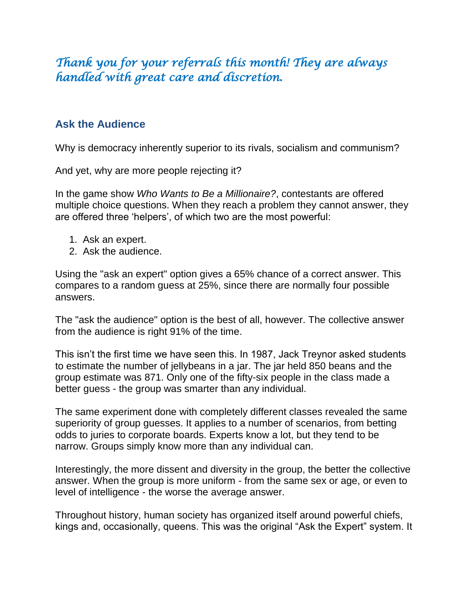# *Thank you for your referrals this month! They are always handled with great care and discretion.*

#### **Ask the Audience**

Why is democracy inherently superior to its rivals, socialism and communism?

And yet, why are more people rejecting it?

In the game show *Who Wants to Be a Millionaire?*, contestants are offered multiple choice questions. When they reach a problem they cannot answer, they are offered three 'helpers', of which two are the most powerful:

- 1. Ask an expert.
- 2. Ask the audience.

Using the "ask an expert" option gives a 65% chance of a correct answer. This compares to a random guess at 25%, since there are normally four possible answers.

The "ask the audience" option is the best of all, however. The collective answer from the audience is right 91% of the time.

This isn't the first time we have seen this. In 1987, Jack Treynor asked students to estimate the number of jellybeans in a jar. The jar held 850 beans and the group estimate was 871. Only one of the fifty-six people in the class made a better guess - the group was smarter than any individual.

The same experiment done with completely different classes revealed the same superiority of group guesses. It applies to a number of scenarios, from betting odds to juries to corporate boards. Experts know a lot, but they tend to be narrow. Groups simply know more than any individual can.

Interestingly, the more dissent and diversity in the group, the better the collective answer. When the group is more uniform - from the same sex or age, or even to level of intelligence - the worse the average answer.

Throughout history, human society has organized itself around powerful chiefs, kings and, occasionally, queens. This was the original "Ask the Expert" system. It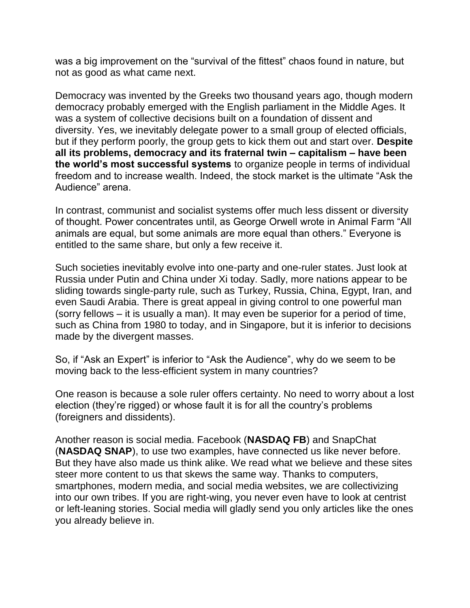was a big improvement on the "survival of the fittest" chaos found in nature, but not as good as what came next.

Democracy was invented by the Greeks two thousand years ago, though modern democracy probably emerged with the English parliament in the Middle Ages. It was a system of collective decisions built on a foundation of dissent and diversity. Yes, we inevitably delegate power to a small group of elected officials, but if they perform poorly, the group gets to kick them out and start over. **Despite all its problems, democracy and its fraternal twin – capitalism – have been the world's most successful systems** to organize people in terms of individual freedom and to increase wealth. Indeed, the stock market is the ultimate "Ask the Audience" arena.

In contrast, communist and socialist systems offer much less dissent or diversity of thought. Power concentrates until, as George Orwell wrote in Animal Farm "All animals are equal, but some animals are more equal than others." Everyone is entitled to the same share, but only a few receive it.

Such societies inevitably evolve into one-party and one-ruler states. Just look at Russia under Putin and China under Xi today. Sadly, more nations appear to be sliding towards single-party rule, such as Turkey, Russia, China, Egypt, Iran, and even Saudi Arabia. There is great appeal in giving control to one powerful man (sorry fellows – it is usually a man). It may even be superior for a period of time, such as China from 1980 to today, and in Singapore, but it is inferior to decisions made by the divergent masses.

So, if "Ask an Expert" is inferior to "Ask the Audience", why do we seem to be moving back to the less-efficient system in many countries?

One reason is because a sole ruler offers certainty. No need to worry about a lost election (they're rigged) or whose fault it is for all the country's problems (foreigners and dissidents).

Another reason is social media. Facebook (**NASDAQ FB**) and SnapChat (**NASDAQ SNAP**), to use two examples, have connected us like never before. But they have also made us think alike. We read what we believe and these sites steer more content to us that skews the same way. Thanks to computers, smartphones, modern media, and social media websites, we are collectivizing into our own tribes. If you are right-wing, you never even have to look at centrist or left-leaning stories. Social media will gladly send you only articles like the ones you already believe in.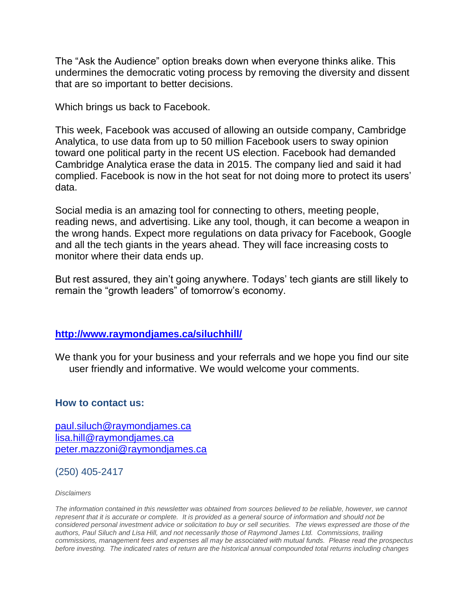The "Ask the Audience" option breaks down when everyone thinks alike. This undermines the democratic voting process by removing the diversity and dissent that are so important to better decisions.

Which brings us back to Facebook.

This week, Facebook was accused of allowing an outside company, Cambridge Analytica, to use data from up to 50 million Facebook users to sway opinion toward one political party in the recent US election. Facebook had demanded Cambridge Analytica erase the data in 2015. The company lied and said it had complied. Facebook is now in the hot seat for not doing more to protect its users' data.

Social media is an amazing tool for connecting to others, meeting people, reading news, and advertising. Like any tool, though, it can become a weapon in the wrong hands. Expect more regulations on data privacy for Facebook, Google and all the tech giants in the years ahead. They will face increasing costs to monitor where their data ends up.

But rest assured, they ain't going anywhere. Todays' tech giants are still likely to remain the "growth leaders" of tomorrow's economy.

#### **<http://www.raymondjames.ca/siluchhill/>**

We thank you for your business and your referrals and we hope you find our site user friendly and informative. We would welcome your comments.

#### **How to contact us:**

[paul.siluch@raymondjames.ca](https://owa-kel.raymondjames.ca/owa/redir.aspx?SURL=z0BxOCXDlQ-Aad1f_a9igaARxm5Rd1VXE7UcmD4mZ3IZiacj7DPTCG0AYQBpAGwAdABvADoAcABhAHUAbAAuAHMAaQBsAHUAYwBoAEAAcgBhAHkAbQBvAG4AZABqAGEAbQBlAHMALgBjAGEA&URL=mailto%3apaul.siluch%40raymondjames.ca) [lisa.hill@raymondjames.ca](https://owa-kel.raymondjames.ca/owa/redir.aspx?SURL=glaBgdTdxPMFpiw4eumg-PzZXpo9vJyObrXLs1TKtIAZiacj7DPTCG0AYQBpAGwAdABvADoAbABpAHMAYQAuAGgAaQBsAGwAQAByAGEAeQBtAG8AbgBkAGoAYQBtAGUAcwAuAGMAYQA.&URL=mailto%3alisa.hill%40raymondjames.ca) [peter.mazzoni@raymondjames.ca](https://owa-kel.raymondjames.ca/owa/redir.aspx?SURL=3c7mDL9-cZxYXt7CvkOu20QVFy1WCaDQxUZ3BQE6vecZiacj7DPTCG0AYQBpAGwAdABvADoAcABlAHQAZQByAC4AbQBhAHoAegBvAG4AaQBAAHIAYQB5AG0AbwBuAGQAagBhAG0AZQBzAC4AYwBhAA..&URL=mailto%3apeter.mazzoni%40raymondjames.ca)

(250) 405-2417

*Disclaimers*

*[The information contained in this newsletter was obtained from sources believed to be reliable, however, we cannot](https://owa-kel.raymondjames.ca/owa/redir.aspx?SURL=z0BxOCXDlQ-Aad1f_a9igaARxm5Rd1VXE7UcmD4mZ3IZiacj7DPTCG0AYQBpAGwAdABvADoAcABhAHUAbAAuAHMAaQBsAHUAYwBoAEAAcgBhAHkAbQBvAG4AZABqAGEAbQBlAHMALgBjAGEA&URL=mailto%3apaul.siluch%40raymondjames.ca)  represent that it is accurate or complete. [It is provided as a general source of information and should not be](https://owa-kel.raymondjames.ca/owa/redir.aspx?SURL=z0BxOCXDlQ-Aad1f_a9igaARxm5Rd1VXE7UcmD4mZ3IZiacj7DPTCG0AYQBpAGwAdABvADoAcABhAHUAbAAuAHMAaQBsAHUAYwBoAEAAcgBhAHkAbQBvAG4AZABqAGEAbQBlAHMALgBjAGEA&URL=mailto%3apaul.siluch%40raymondjames.ca)  [considered personal investment advice or solicitation to buy or sell securities.](https://owa-kel.raymondjames.ca/owa/redir.aspx?SURL=z0BxOCXDlQ-Aad1f_a9igaARxm5Rd1VXE7UcmD4mZ3IZiacj7DPTCG0AYQBpAGwAdABvADoAcABhAHUAbAAuAHMAaQBsAHUAYwBoAEAAcgBhAHkAbQBvAG4AZABqAGEAbQBlAHMALgBjAGEA&URL=mailto%3apaul.siluch%40raymondjames.ca) The views expressed are those of the [authors, Paul Siluch and Lisa Hill, and not necessarily those of Raymond James Ltd.](https://owa-kel.raymondjames.ca/owa/redir.aspx?SURL=z0BxOCXDlQ-Aad1f_a9igaARxm5Rd1VXE7UcmD4mZ3IZiacj7DPTCG0AYQBpAGwAdABvADoAcABhAHUAbAAuAHMAaQBsAHUAYwBoAEAAcgBhAHkAbQBvAG4AZABqAGEAbQBlAHMALgBjAGEA&URL=mailto%3apaul.siluch%40raymondjames.ca) Commissions, trailing [commissions, management fees and expenses all may be associated with mutual funds.](https://owa-kel.raymondjames.ca/owa/redir.aspx?SURL=z0BxOCXDlQ-Aad1f_a9igaARxm5Rd1VXE7UcmD4mZ3IZiacj7DPTCG0AYQBpAGwAdABvADoAcABhAHUAbAAuAHMAaQBsAHUAYwBoAEAAcgBhAHkAbQBvAG4AZABqAGEAbQBlAHMALgBjAGEA&URL=mailto%3apaul.siluch%40raymondjames.ca) Please read the prospectus before investing. [The indicated rates of return are the historical annual compounded total returns including changes](https://owa-kel.raymondjames.ca/owa/redir.aspx?SURL=z0BxOCXDlQ-Aad1f_a9igaARxm5Rd1VXE7UcmD4mZ3IZiacj7DPTCG0AYQBpAGwAdABvADoAcABhAHUAbAAuAHMAaQBsAHUAYwBoAEAAcgBhAHkAbQBvAG4AZABqAGEAbQBlAHMALgBjAGEA&URL=mailto%3apaul.siluch%40raymondjames.ca)*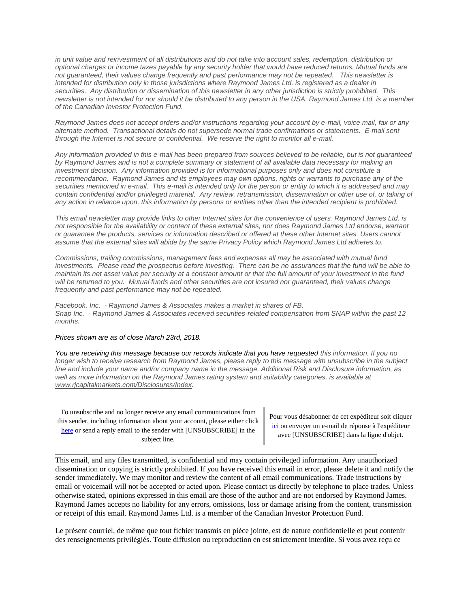*[in unit value and reinvestment of all distributions and do not take into account sales, redemption, distribution or](https://owa-kel.raymondjames.ca/owa/redir.aspx?SURL=z0BxOCXDlQ-Aad1f_a9igaARxm5Rd1VXE7UcmD4mZ3IZiacj7DPTCG0AYQBpAGwAdABvADoAcABhAHUAbAAuAHMAaQBsAHUAYwBoAEAAcgBhAHkAbQBvAG4AZABqAGEAbQBlAHMALgBjAGEA&URL=mailto%3apaul.siluch%40raymondjames.ca)  [optional charges or income taxes payable by any security holder that would have reduced returns. Mutual funds are](https://owa-kel.raymondjames.ca/owa/redir.aspx?SURL=z0BxOCXDlQ-Aad1f_a9igaARxm5Rd1VXE7UcmD4mZ3IZiacj7DPTCG0AYQBpAGwAdABvADoAcABhAHUAbAAuAHMAaQBsAHUAYwBoAEAAcgBhAHkAbQBvAG4AZABqAGEAbQBlAHMALgBjAGEA&URL=mailto%3apaul.siluch%40raymondjames.ca)  [not guaranteed, their values change frequently and past performance may not be repeated.](https://owa-kel.raymondjames.ca/owa/redir.aspx?SURL=z0BxOCXDlQ-Aad1f_a9igaARxm5Rd1VXE7UcmD4mZ3IZiacj7DPTCG0AYQBpAGwAdABvADoAcABhAHUAbAAuAHMAaQBsAHUAYwBoAEAAcgBhAHkAbQBvAG4AZABqAGEAbQBlAHMALgBjAGEA&URL=mailto%3apaul.siluch%40raymondjames.ca) This newsletter is [intended for distribution only in those jurisdictions where Raymond James Ltd. is registered as a dealer in](https://owa-kel.raymondjames.ca/owa/redir.aspx?SURL=z0BxOCXDlQ-Aad1f_a9igaARxm5Rd1VXE7UcmD4mZ3IZiacj7DPTCG0AYQBpAGwAdABvADoAcABhAHUAbAAuAHMAaQBsAHUAYwBoAEAAcgBhAHkAbQBvAG4AZABqAGEAbQBlAHMALgBjAGEA&URL=mailto%3apaul.siluch%40raymondjames.ca)  securities. [Any distribution or dissemination of this newsletter in any other jurisdiction is strictly prohibited.](https://owa-kel.raymondjames.ca/owa/redir.aspx?SURL=z0BxOCXDlQ-Aad1f_a9igaARxm5Rd1VXE7UcmD4mZ3IZiacj7DPTCG0AYQBpAGwAdABvADoAcABhAHUAbAAuAHMAaQBsAHUAYwBoAEAAcgBhAHkAbQBvAG4AZABqAGEAbQBlAHMALgBjAGEA&URL=mailto%3apaul.siluch%40raymondjames.ca) This [newsletter is not intended for nor should it be distributed to any person in the USA. Raymond James Ltd. is a member](https://owa-kel.raymondjames.ca/owa/redir.aspx?SURL=z0BxOCXDlQ-Aad1f_a9igaARxm5Rd1VXE7UcmD4mZ3IZiacj7DPTCG0AYQBpAGwAdABvADoAcABhAHUAbAAuAHMAaQBsAHUAYwBoAEAAcgBhAHkAbQBvAG4AZABqAGEAbQBlAHMALgBjAGEA&URL=mailto%3apaul.siluch%40raymondjames.ca)  [of the Canadian Investor Protection Fund.](https://owa-kel.raymondjames.ca/owa/redir.aspx?SURL=z0BxOCXDlQ-Aad1f_a9igaARxm5Rd1VXE7UcmD4mZ3IZiacj7DPTCG0AYQBpAGwAdABvADoAcABhAHUAbAAuAHMAaQBsAHUAYwBoAEAAcgBhAHkAbQBvAG4AZABqAGEAbQBlAHMALgBjAGEA&URL=mailto%3apaul.siluch%40raymondjames.ca)* 

*Raymond James [does not accept orders and/or instructions regarding your account by e-mail, voice mail, fax or any](https://owa-kel.raymondjames.ca/owa/redir.aspx?SURL=z0BxOCXDlQ-Aad1f_a9igaARxm5Rd1VXE7UcmD4mZ3IZiacj7DPTCG0AYQBpAGwAdABvADoAcABhAHUAbAAuAHMAaQBsAHUAYwBoAEAAcgBhAHkAbQBvAG4AZABqAGEAbQBlAHMALgBjAGEA&URL=mailto%3apaul.siluch%40raymondjames.ca)  alternate method. [Transactional details do not supersede normal trade confirmations or statements.](https://owa-kel.raymondjames.ca/owa/redir.aspx?SURL=z0BxOCXDlQ-Aad1f_a9igaARxm5Rd1VXE7UcmD4mZ3IZiacj7DPTCG0AYQBpAGwAdABvADoAcABhAHUAbAAuAHMAaQBsAHUAYwBoAEAAcgBhAHkAbQBvAG4AZABqAGEAbQBlAHMALgBjAGEA&URL=mailto%3apaul.siluch%40raymondjames.ca) E-mail sent [through the Internet is not secure or confidential.](https://owa-kel.raymondjames.ca/owa/redir.aspx?SURL=z0BxOCXDlQ-Aad1f_a9igaARxm5Rd1VXE7UcmD4mZ3IZiacj7DPTCG0AYQBpAGwAdABvADoAcABhAHUAbAAuAHMAaQBsAHUAYwBoAEAAcgBhAHkAbQBvAG4AZABqAGEAbQBlAHMALgBjAGEA&URL=mailto%3apaul.siluch%40raymondjames.ca) We reserve the right to monitor all e-mail.*

*Any information [provided in this e-mail has been prepared from sources believed to be reliable, but is not guaranteed](https://owa-kel.raymondjames.ca/owa/redir.aspx?SURL=z0BxOCXDlQ-Aad1f_a9igaARxm5Rd1VXE7UcmD4mZ3IZiacj7DPTCG0AYQBpAGwAdABvADoAcABhAHUAbAAuAHMAaQBsAHUAYwBoAEAAcgBhAHkAbQBvAG4AZABqAGEAbQBlAHMALgBjAGEA&URL=mailto%3apaul.siluch%40raymondjames.ca)  by Raymond James [and is not a complete summary or statement of all available data necessary for making an](https://owa-kel.raymondjames.ca/owa/redir.aspx?SURL=z0BxOCXDlQ-Aad1f_a9igaARxm5Rd1VXE7UcmD4mZ3IZiacj7DPTCG0AYQBpAGwAdABvADoAcABhAHUAbAAuAHMAaQBsAHUAYwBoAEAAcgBhAHkAbQBvAG4AZABqAGEAbQBlAHMALgBjAGEA&URL=mailto%3apaul.siluch%40raymondjames.ca)  investment decision. [Any information provided is for informational purposes only and does not constitute a](https://owa-kel.raymondjames.ca/owa/redir.aspx?SURL=z0BxOCXDlQ-Aad1f_a9igaARxm5Rd1VXE7UcmD4mZ3IZiacj7DPTCG0AYQBpAGwAdABvADoAcABhAHUAbAAuAHMAaQBsAHUAYwBoAEAAcgBhAHkAbQBvAG4AZABqAGEAbQBlAHMALgBjAGEA&URL=mailto%3apaul.siluch%40raymondjames.ca)  recommendation. Raymond James [and its employees may own options, rights or warrants to purchase any of the](https://owa-kel.raymondjames.ca/owa/redir.aspx?SURL=z0BxOCXDlQ-Aad1f_a9igaARxm5Rd1VXE7UcmD4mZ3IZiacj7DPTCG0AYQBpAGwAdABvADoAcABhAHUAbAAuAHMAaQBsAHUAYwBoAEAAcgBhAHkAbQBvAG4AZABqAGEAbQBlAHMALgBjAGEA&URL=mailto%3apaul.siluch%40raymondjames.ca)  securities mentioned in e-mail. [This e-mail is intended only for the person or entity to which it is addressed and may](https://owa-kel.raymondjames.ca/owa/redir.aspx?SURL=z0BxOCXDlQ-Aad1f_a9igaARxm5Rd1VXE7UcmD4mZ3IZiacj7DPTCG0AYQBpAGwAdABvADoAcABhAHUAbAAuAHMAaQBsAHUAYwBoAEAAcgBhAHkAbQBvAG4AZABqAGEAbQBlAHMALgBjAGEA&URL=mailto%3apaul.siluch%40raymondjames.ca)  contain confidential and/or privileged material. [Any review, retransmission, dissemination or other use of, or taking of](https://owa-kel.raymondjames.ca/owa/redir.aspx?SURL=z0BxOCXDlQ-Aad1f_a9igaARxm5Rd1VXE7UcmD4mZ3IZiacj7DPTCG0AYQBpAGwAdABvADoAcABhAHUAbAAuAHMAaQBsAHUAYwBoAEAAcgBhAHkAbQBvAG4AZABqAGEAbQBlAHMALgBjAGEA&URL=mailto%3apaul.siluch%40raymondjames.ca)  [any action in reliance upon, this information by persons or entities other than the intended recipient is prohibited.](https://owa-kel.raymondjames.ca/owa/redir.aspx?SURL=z0BxOCXDlQ-Aad1f_a9igaARxm5Rd1VXE7UcmD4mZ3IZiacj7DPTCG0AYQBpAGwAdABvADoAcABhAHUAbAAuAHMAaQBsAHUAYwBoAEAAcgBhAHkAbQBvAG4AZABqAGEAbQBlAHMALgBjAGEA&URL=mailto%3apaul.siluch%40raymondjames.ca)*

*This email newsletter may provide links to other Internet sites for the convenience of users. Raymond James Ltd. is not responsible for the availability or content of these external sites, nor does Raymond James Ltd endorse, warrant or guarantee the products, services or information described or offered at these other Internet sites. Users cannot assume that the external sites will abide by the same Privacy Policy which Raymond James Ltd adheres to.*

*Commissions, trailing commissions, management fees and expenses all may be associated with mutual fund investments. Please read the prospectus before investing. There can be no assurances that the fund will be able to maintain its net asset value per security at a constant amount or that the full amount of your investment in the fund will be returned to you. Mutual funds and other securities are not insured nor guaranteed, their values change frequently and past performance may not be repeated.*

*Facebook, Inc. - Raymond James & Associates makes a market in shares of FB. Snap Inc. - Raymond James & Associates received securities-related compensation from SNAP within the past 12 months.*

#### *[Prices shown are as of close March 23rd, 2018.](https://owa-kel.raymondjames.ca/owa/redir.aspx?SURL=z0BxOCXDlQ-Aad1f_a9igaARxm5Rd1VXE7UcmD4mZ3IZiacj7DPTCG0AYQBpAGwAdABvADoAcABhAHUAbAAuAHMAaQBsAHUAYwBoAEAAcgBhAHkAbQBvAG4AZABqAGEAbQBlAHMALgBjAGEA&URL=mailto%3apaul.siluch%40raymondjames.ca)*

*You are receiving this message because our records indicate that you have requested this information. If you no longer wish to receive research from Raymond James, please reply to this message with unsubscribe in the subject line and include your name and/or company name in the message. Additional Risk and Disclosure information, as well as more information on the Raymond James rating system and suitability categories, is available at [www.rjcapitalmarkets.com/Disclosures/Index.](https://owa-kel.raymondjames.ca/owa/redir.aspx?SURL=xhOB4gpVfLOskwdkUL9L2f18Fq4IG2rgvMfuIIX7BlwZiacj7DPTCGgAdAB0AHAAOgAvAC8AdwB3AHcALgByAGoAYwBhAHAAaQB0AGEAbABtAGEAcgBrAGUAdABzAC4AYwBvAG0ALwBEAGkAcwBjAGwAbwBzAHUAcgBlAHMALwBJAG4AZABlAHgA&URL=http%3a%2f%2fwww.rjcapitalmarkets.com%2fDisclosures%2fIndex)*

To unsubscribe and no longer receive any email communications from this sender, including information about your account, please either click [here](mailto:paul.siluch@raymondjames.ca?subject=[UNSUBSCRIBE]&body=I%20wish%20to%20unsubscribe%20from%20all%20commercial%20electronic%20messages%20from%20this%20sender.%20%20There%20may%20be%20other%20employees%20or%20agents%20within%20Raymond%20James%20which%20communicate%20with%20me%20electronically%20and%20I%20understand%20that%20I%20may%20unsubscribe%20from%20these%20senders%20separately.) or send a reply email to the sender with [UNSUBSCRIBE] in the subject line.

Pour vous désabonner de cet expéditeur soit cliquer [ici](mailto:paul.siluch@raymondjames.ca?subject=[UNSUBSCRIBE]&body=Je%20souhaite%20me%20désinscrire%20de%20tous%20les%20messages%20électroniques%20commerciaux.%20Il%20peut%20y%20avoir%20d) ou envoyer un e-mail de réponse à l'expéditeur avec [UNSUBSCRIBE] dans la ligne d'objet.

This email, and any files transmitted, is confidential and may contain privileged information. Any unauthorized dissemination or copying is strictly prohibited. If you have received this email in error, please delete it and notify the sender immediately. We may monitor and review the content of all email communications. Trade instructions by email or voicemail will not be accepted or acted upon. Please contact us directly by telephone to place trades. Unless otherwise stated, opinions expressed in this email are those of the author and are not endorsed by Raymond James. Raymond James accepts no liability for any errors, omissions, loss or damage arising from the content, transmission or receipt of this email. Raymond James Ltd. is a member of the Canadian Investor Protection Fund.

\_\_\_\_\_\_\_\_\_\_\_\_\_\_\_\_\_\_\_\_\_\_\_\_\_\_\_\_\_\_\_\_\_\_\_\_\_\_\_\_\_\_\_\_\_\_\_\_\_\_\_\_\_\_\_\_\_\_\_\_\_\_\_\_\_\_\_\_\_\_\_\_\_\_\_\_\_\_\_\_\_\_\_\_

Le présent courriel, de même que tout fichier transmis en pièce jointe, est de nature confidentielle et peut contenir des renseignements privilégiés. Toute diffusion ou reproduction en est strictement interdite. Si vous avez reçu ce